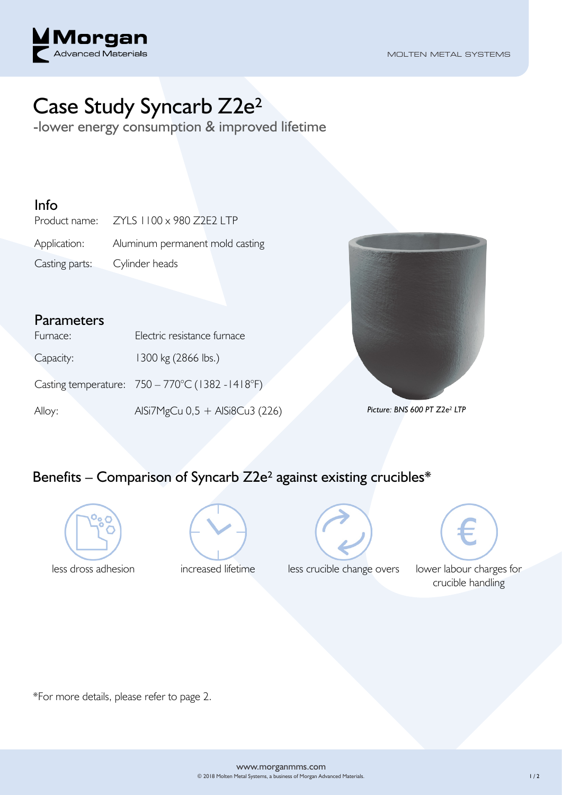

# Case Study Syncarb Z2e²

-lower energy consumption & improved lifetime

#### Info

Product name: ZYLS 1100 x 980 Z2E2 LTP

Application: Aluminum permanent mold casting

Casting parts: Cylinder heads

#### Parameters

| Furnace:  | Electric resistance furnace                                |
|-----------|------------------------------------------------------------|
| Capacity: | 1300 kg (2866 lbs.)                                        |
|           | Casting temperature: $750 - 770^{\circ}$ C (1382 - 1418°F) |
| Alloy:    | AlSi7MgCu 0,5 + AlSi8Cu3 (226                              |



Allow: Allow: **Alloys: Alsis** + Alsis + Alsis + Alsis + Alsis + Alsis + Alsis + Alsis + Alsis + Alsis + Alsis + Alsis + Alsis + Alsis + Alsis + Alsis + Alsis + Alsis + Alsis + Alsis + Alsis + Alsis + Alsis + Alsis + Alsis

# Benefits – Comparison of Syncarb Z2e² against existing crucibles\*







less dross adhesion increased lifetime less crucible change overs lower labour charges for



crucible handling

\*For more details, please refer to page 2.